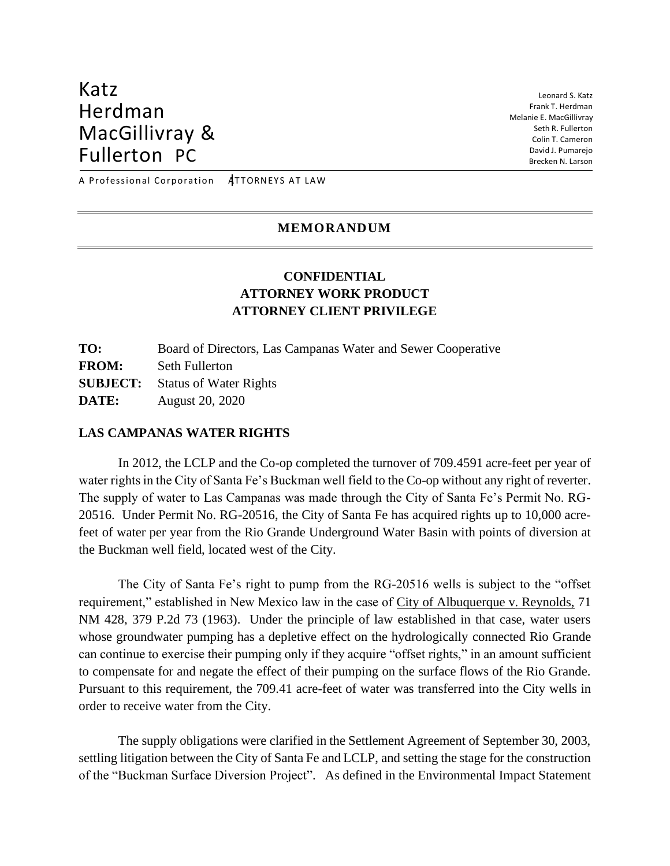# Katz Herdman MacGillivray & Fullerton PC

Leonard S. Katz Frank T. Herdman Melanie E. MacGillivray Seth R. Fullerton Colin T. Cameron David J. Pumarejo Brecken N. Larson

A Professional Corporation ATTORNEYS AT LAW

#### **MEMORANDUM**

## **CONFIDENTIAL ATTORNEY WORK PRODUCT ATTORNEY CLIENT PRIVILEGE**

**TO:** Board of Directors, Las Campanas Water and Sewer Cooperative **FROM:** Seth Fullerton **SUBJECT:** Status of Water Rights **DATE:** August 20, 2020

### **LAS CAMPANAS WATER RIGHTS**

In 2012, the LCLP and the Co-op completed the turnover of 709.4591 acre-feet per year of water rights in the City of Santa Fe's Buckman well field to the Co-op without any right of reverter. The supply of water to Las Campanas was made through the City of Santa Fe's Permit No. RG-20516. Under Permit No. RG-20516, the City of Santa Fe has acquired rights up to 10,000 acrefeet of water per year from the Rio Grande Underground Water Basin with points of diversion at the Buckman well field, located west of the City.

The City of Santa Fe's right to pump from the RG-20516 wells is subject to the "offset requirement," established in New Mexico law in the case of City of Albuquerque v. Reynolds, 71 NM 428, 379 P.2d 73 (1963). Under the principle of law established in that case, water users whose groundwater pumping has a depletive effect on the hydrologically connected Rio Grande can continue to exercise their pumping only if they acquire "offset rights," in an amount sufficient to compensate for and negate the effect of their pumping on the surface flows of the Rio Grande. Pursuant to this requirement, the 709.41 acre-feet of water was transferred into the City wells in order to receive water from the City.

The supply obligations were clarified in the Settlement Agreement of September 30, 2003, settling litigation between the City of Santa Fe and LCLP, and setting the stage for the construction of the "Buckman Surface Diversion Project". As defined in the Environmental Impact Statement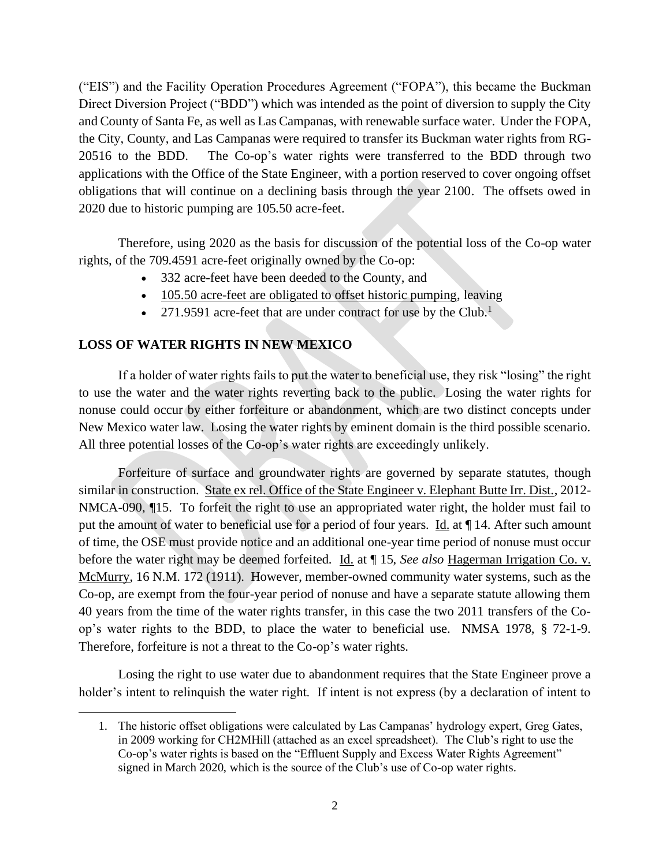("EIS") and the Facility Operation Procedures Agreement ("FOPA"), this became the Buckman Direct Diversion Project ("BDD") which was intended as the point of diversion to supply the City and County of Santa Fe, as well as Las Campanas, with renewable surface water. Under the FOPA, the City, County, and Las Campanas were required to transfer its Buckman water rights from RG-20516 to the BDD. The Co-op's water rights were transferred to the BDD through two applications with the Office of the State Engineer, with a portion reserved to cover ongoing offset obligations that will continue on a declining basis through the year 2100. The offsets owed in 2020 due to historic pumping are 105.50 acre-feet.

Therefore, using 2020 as the basis for discussion of the potential loss of the Co-op water rights, of the 709.4591 acre-feet originally owned by the Co-op:

- 332 acre-feet have been deeded to the County, and
- 105.50 acre-feet are obligated to offset historic pumping, leaving
- 271.9591 acre-feet that are under contract for use by the Club.<sup>1</sup>

### **LOSS OF WATER RIGHTS IN NEW MEXICO**

If a holder of water rights fails to put the water to beneficial use, they risk "losing" the right to use the water and the water rights reverting back to the public. Losing the water rights for nonuse could occur by either forfeiture or abandonment, which are two distinct concepts under New Mexico water law. Losing the water rights by eminent domain is the third possible scenario. All three potential losses of the Co-op's water rights are exceedingly unlikely.

Forfeiture of surface and groundwater rights are governed by separate statutes, though similar in construction. State ex rel. Office of the State Engineer v. Elephant Butte Irr. Dist., 2012- NMCA-090, ¶15. To forfeit the right to use an appropriated water right, the holder must fail to put the amount of water to beneficial use for a period of four years. Id. at  $\P$  14. After such amount of time, the OSE must provide notice and an additional one-year time period of nonuse must occur before the water right may be deemed forfeited. Id. at ¶ 15, *See also* Hagerman Irrigation Co. v. McMurry, 16 N.M. 172 (1911). However, member-owned community water systems, such as the Co-op, are exempt from the four-year period of nonuse and have a separate statute allowing them 40 years from the time of the water rights transfer, in this case the two 2011 transfers of the Coop's water rights to the BDD, to place the water to beneficial use. NMSA 1978, § 72-1-9. Therefore, forfeiture is not a threat to the Co-op's water rights.

Losing the right to use water due to abandonment requires that the State Engineer prove a holder's intent to relinquish the water right. If intent is not express (by a declaration of intent to

<sup>1.</sup> The historic offset obligations were calculated by Las Campanas' hydrology expert, Greg Gates, in 2009 working for CH2MHill (attached as an excel spreadsheet). The Club's right to use the Co-op's water rights is based on the "Effluent Supply and Excess Water Rights Agreement" signed in March 2020, which is the source of the Club's use of Co-op water rights.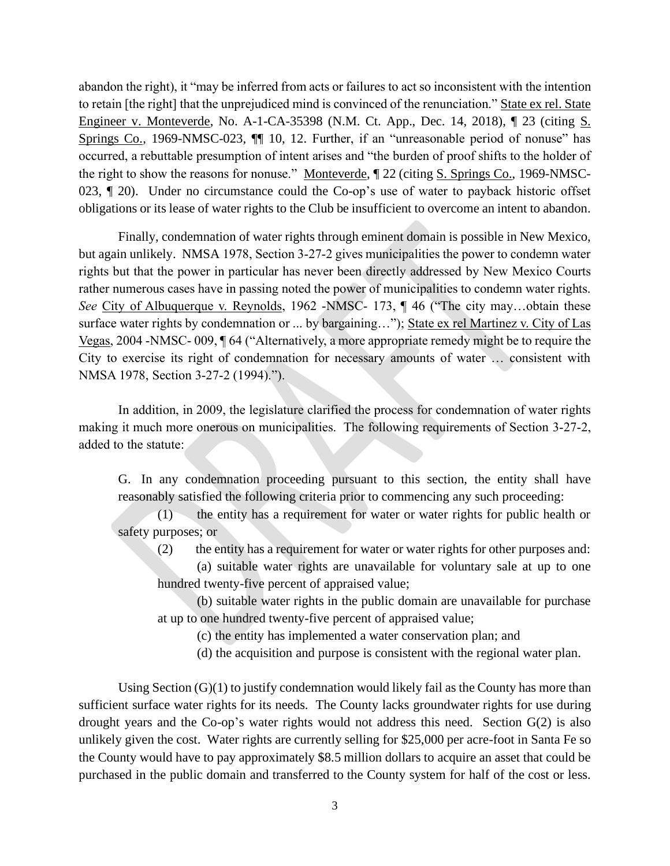abandon the right), it "may be inferred from acts or failures to act so inconsistent with the intention to retain [the right] that the unprejudiced mind is convinced of the renunciation." State ex rel. State Engineer v. Monteverde, No. A-1-CA-35398 (N.M. Ct. App., Dec. 14, 2018), ¶ 23 (citing S. Springs Co., 1969-NMSC-023, ¶¶ 10, 12. Further, if an "unreasonable period of nonuse" has occurred, a rebuttable presumption of intent arises and "the burden of proof shifts to the holder of the right to show the reasons for nonuse." Monteverde, ¶ 22 (citing S. Springs Co., 1969-NMSC-023, ¶ 20). Under no circumstance could the Co-op's use of water to payback historic offset obligations or its lease of water rights to the Club be insufficient to overcome an intent to abandon.

Finally, condemnation of water rights through eminent domain is possible in New Mexico, but again unlikely. NMSA 1978, Section 3-27-2 gives municipalities the power to condemn water rights but that the power in particular has never been directly addressed by New Mexico Courts rather numerous cases have in passing noted the power of municipalities to condemn water rights. *See* City of Albuquerque v. Reynolds, 1962 -NMSC- 173, ¶ 46 ("The city may...obtain these surface water rights by condemnation or ... by bargaining..."); State ex rel Martinez v. City of Las Vegas, 2004 -NMSC- 009, ¶ 64 ("Alternatively, a more appropriate remedy might be to require the City to exercise its right of condemnation for necessary amounts of water … consistent with NMSA 1978, Section 3-27-2 (1994).").

In addition, in 2009, the legislature clarified the process for condemnation of water rights making it much more onerous on municipalities. The following requirements of Section 3-27-2, added to the statute:

G. In any condemnation proceeding pursuant to this section, the entity shall have reasonably satisfied the following criteria prior to commencing any such proceeding:

(1) the entity has a requirement for water or water rights for public health or safety purposes; or

(2) the entity has a requirement for water or water rights for other purposes and:

(a) suitable water rights are unavailable for voluntary sale at up to one hundred twenty-five percent of appraised value;

(b) suitable water rights in the public domain are unavailable for purchase at up to one hundred twenty-five percent of appraised value;

(c) the entity has implemented a water conservation plan; and

(d) the acquisition and purpose is consistent with the regional water plan.

Using Section  $(G)(1)$  to justify condemnation would likely fail as the County has more than sufficient surface water rights for its needs. The County lacks groundwater rights for use during drought years and the Co-op's water rights would not address this need. Section G(2) is also unlikely given the cost. Water rights are currently selling for \$25,000 per acre-foot in Santa Fe so the County would have to pay approximately \$8.5 million dollars to acquire an asset that could be purchased in the public domain and transferred to the County system for half of the cost or less.